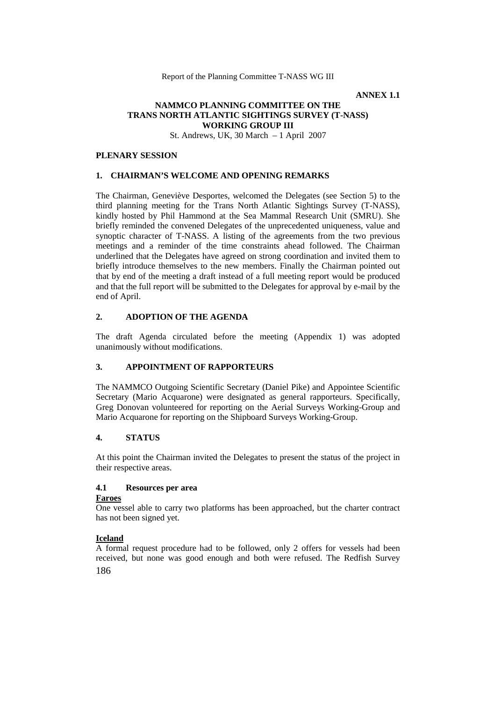**ANNEX 1.1**

## **NAMMCO PLANNING COMMITTEE ON THE TRANS NORTH ATLANTIC SIGHTINGS SURVEY (T-NASS) WORKING GROUP III**

St. Andrews, UK, 30 March – 1 April 2007

### **PLENARY SESSION**

#### **1. CHAIRMAN'S WELCOME AND OPENING REMARKS**

The Chairman, Geneviève Desportes, welcomed the Delegates (see Section 5) to the third planning meeting for the Trans North Atlantic Sightings Survey (T-NASS), kindly hosted by Phil Hammond at the Sea Mammal Research Unit (SMRU). She briefly reminded the convened Delegates of the unprecedented uniqueness, value and synoptic character of T-NASS. A listing of the agreements from the two previous meetings and a reminder of the time constraints ahead followed. The Chairman underlined that the Delegates have agreed on strong coordination and invited them to briefly introduce themselves to the new members. Finally the Chairman pointed out that by end of the meeting a draft instead of a full meeting report would be produced and that the full report will be submitted to the Delegates for approval by e-mail by the end of April.

## **2. ADOPTION OF THE AGENDA**

The draft Agenda circulated before the meeting (Appendix 1) was adopted unanimously without modifications.

### **3. APPOINTMENT OF RAPPORTEURS**

The NAMMCO Outgoing Scientific Secretary (Daniel Pike) and Appointee Scientific Secretary (Mario Acquarone) were designated as general rapporteurs. Specifically, Greg Donovan volunteered for reporting on the Aerial Surveys Working-Group and Mario Acquarone for reporting on the Shipboard Surveys Working-Group.

### **4. STATUS**

At this point the Chairman invited the Delegates to present the status of the project in their respective areas.

## **4.1 Resources per area**

### **Faroes**

One vessel able to carry two platforms has been approached, but the charter contract has not been signed yet.

### **Iceland**

186 A formal request procedure had to be followed, only 2 offers for vessels had been received, but none was good enough and both were refused. The Redfish Survey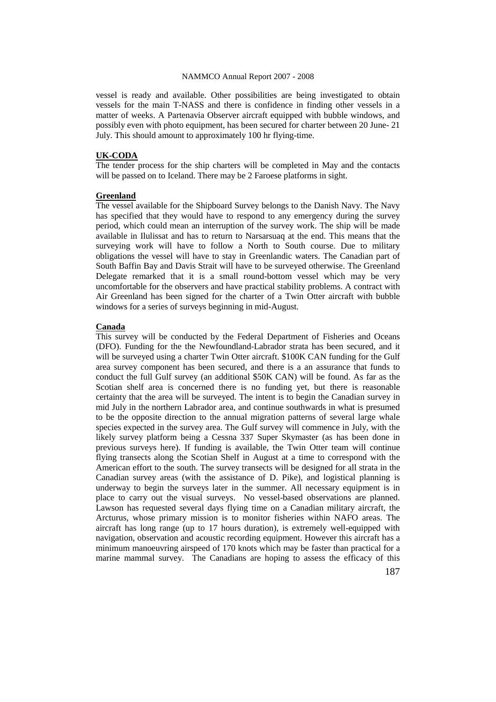vessel is ready and available. Other possibilities are being investigated to obtain vessels for the main T-NASS and there is confidence in finding other vessels in a matter of weeks. A Partenavia Observer aircraft equipped with bubble windows, and possibly even with photo equipment, has been secured for charter between 20 June- 21 July. This should amount to approximately 100 hr flying-time.

#### **UK-CODA**

The tender process for the ship charters will be completed in May and the contacts will be passed on to Iceland. There may be 2 Faroese platforms in sight.

#### **Greenland**

The vessel available for the Shipboard Survey belongs to the Danish Navy. The Navy has specified that they would have to respond to any emergency during the survey period, which could mean an interruption of the survey work. The ship will be made available in Ilulissat and has to return to Narsarsuaq at the end. This means that the surveying work will have to follow a North to South course. Due to military obligations the vessel will have to stay in Greenlandic waters. The Canadian part of South Baffin Bay and Davis Strait will have to be surveyed otherwise. The Greenland Delegate remarked that it is a small round-bottom vessel which may be very uncomfortable for the observers and have practical stability problems. A contract with Air Greenland has been signed for the charter of a Twin Otter aircraft with bubble windows for a series of surveys beginning in mid-August.

#### **Canada**

This survey will be conducted by the Federal Department of Fisheries and Oceans (DFO). Funding for the the Newfoundland-Labrador strata has been secured, and it will be surveyed using a charter Twin Otter aircraft. \$100K CAN funding for the Gulf area survey component has been secured, and there is a an assurance that funds to conduct the full Gulf survey (an additional \$50K CAN) will be found. As far as the Scotian shelf area is concerned there is no funding yet, but there is reasonable certainty that the area will be surveyed. The intent is to begin the Canadian survey in mid July in the northern Labrador area, and continue southwards in what is presumed to be the opposite direction to the annual migration patterns of several large whale species expected in the survey area. The Gulf survey will commence in July, with the likely survey platform being a Cessna 337 Super Skymaster (as has been done in previous surveys here). If funding is available, the Twin Otter team will continue flying transects along the Scotian Shelf in August at a time to correspond with the American effort to the south. The survey transects will be designed for all strata in the Canadian survey areas (with the assistance of D. Pike), and logistical planning is underway to begin the surveys later in the summer. All necessary equipment is in place to carry out the visual surveys. No vessel-based observations are planned. Lawson has requested several days flying time on a Canadian military aircraft, the Arcturus, whose primary mission is to monitor fisheries within NAFO areas. The aircraft has long range (up to 17 hours duration), is extremely well-equipped with navigation, observation and acoustic recording equipment. However this aircraft has a minimum manoeuvring airspeed of 170 knots which may be faster than practical for a marine mammal survey. The Canadians are hoping to assess the efficacy of this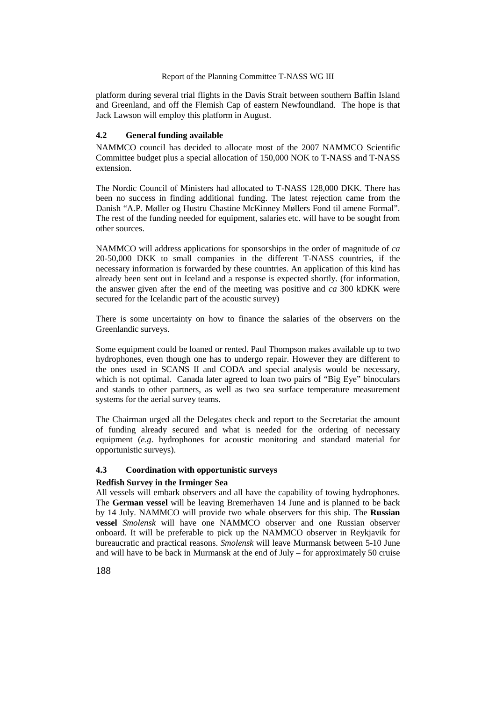platform during several trial flights in the Davis Strait between southern Baffin Island and Greenland, and off the Flemish Cap of eastern Newfoundland. The hope is that Jack Lawson will employ this platform in August.

#### **4.2 General funding available**

NAMMCO council has decided to allocate most of the 2007 NAMMCO Scientific Committee budget plus a special allocation of 150,000 NOK to T-NASS and T-NASS extension.

The Nordic Council of Ministers had allocated to T-NASS 128,000 DKK. There has been no success in finding additional funding. The latest rejection came from the Danish "A.P. Møller og Hustru Chastine McKinney Møllers Fond til amene Formal". The rest of the funding needed for equipment, salaries etc. will have to be sought from other sources.

NAMMCO will address applications for sponsorships in the order of magnitude of *ca* 20-50,000 DKK to small companies in the different T-NASS countries, if the necessary information is forwarded by these countries. An application of this kind has already been sent out in Iceland and a response is expected shortly. (for information, the answer given after the end of the meeting was positive and *ca* 300 kDKK were secured for the Icelandic part of the acoustic survey)

There is some uncertainty on how to finance the salaries of the observers on the Greenlandic surveys.

Some equipment could be loaned or rented. Paul Thompson makes available up to two hydrophones, even though one has to undergo repair. However they are different to the ones used in SCANS II and CODA and special analysis would be necessary, which is not optimal. Canada later agreed to loan two pairs of "Big Eye" binoculars and stands to other partners, as well as two sea surface temperature measurement systems for the aerial survey teams.

The Chairman urged all the Delegates check and report to the Secretariat the amount of funding already secured and what is needed for the ordering of necessary equipment (*e.g*. hydrophones for acoustic monitoring and standard material for opportunistic surveys).

#### **4.3 Coordination with opportunistic surveys**

### **Redfish Survey in the Irminger Sea**

All vessels will embark observers and all have the capability of towing hydrophones. The **German vessel** will be leaving Bremerhaven 14 June and is planned to be back by 14 July. NAMMCO will provide two whale observers for this ship. The **Russian vessel** *Smolensk* will have one NAMMCO observer and one Russian observer onboard. It will be preferable to pick up the NAMMCO observer in Reykjavik for bureaucratic and practical reasons. *Smolensk* will leave Murmansk between 5-10 June and will have to be back in Murmansk at the end of July – for approximately 50 cruise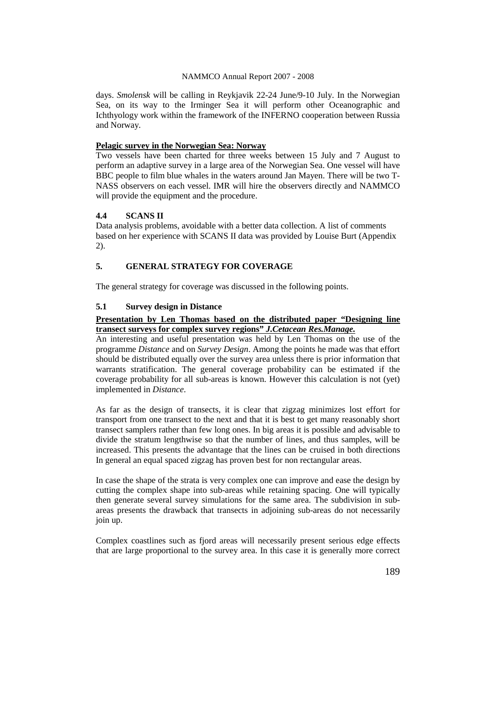days. *Smolensk* will be calling in Reykjavik 22-24 June/9-10 July. In the Norwegian Sea, on its way to the Irminger Sea it will perform other Oceanographic and Ichthyology work within the framework of the INFERNO cooperation between Russia and Norway.

## **Pelagic survey in the Norwegian Sea: Norway**

Two vessels have been charted for three weeks between 15 July and 7 August to perform an adaptive survey in a large area of the Norwegian Sea. One vessel will have BBC people to film blue whales in the waters around Jan Mayen. There will be two T-NASS observers on each vessel. IMR will hire the observers directly and NAMMCO will provide the equipment and the procedure.

## **4.4 SCANS II**

Data analysis problems, avoidable with a better data collection. A list of comments based on her experience with SCANS II data was provided by Louise Burt (Appendix 2).

## **5. GENERAL STRATEGY FOR COVERAGE**

The general strategy for coverage was discussed in the following points.

### **5.1 Survey design in Distance**

## **Presentation by Len Thomas based on the distributed paper "Designing line transect surveys for complex survey regions"** *J.Cetacean Res.Manage.*

An interesting and useful presentation was held by Len Thomas on the use of the programme *Distance* and on *Survey Design*. Among the points he made was that effort should be distributed equally over the survey area unless there is prior information that warrants stratification. The general coverage probability can be estimated if the coverage probability for all sub-areas is known. However this calculation is not (yet) implemented in *Distance*.

As far as the design of transects, it is clear that zigzag minimizes lost effort for transport from one transect to the next and that it is best to get many reasonably short transect samplers rather than few long ones. In big areas it is possible and advisable to divide the stratum lengthwise so that the number of lines, and thus samples, will be increased. This presents the advantage that the lines can be cruised in both directions In general an equal spaced zigzag has proven best for non rectangular areas.

In case the shape of the strata is very complex one can improve and ease the design by cutting the complex shape into sub-areas while retaining spacing. One will typically then generate several survey simulations for the same area. The subdivision in subareas presents the drawback that transects in adjoining sub-areas do not necessarily join up.

Complex coastlines such as fjord areas will necessarily present serious edge effects that are large proportional to the survey area. In this case it is generally more correct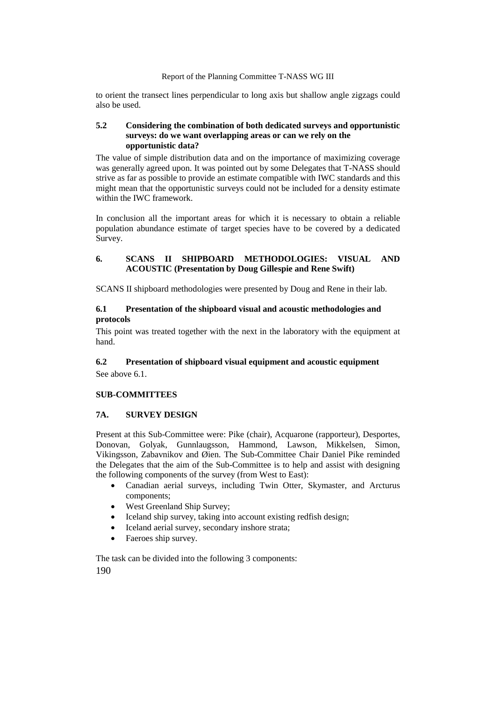to orient the transect lines perpendicular to long axis but shallow angle zigzags could also be used.

### **5.2 Considering the combination of both dedicated surveys and opportunistic surveys: do we want overlapping areas or can we rely on the opportunistic data?**

The value of simple distribution data and on the importance of maximizing coverage was generally agreed upon. It was pointed out by some Delegates that T-NASS should strive as far as possible to provide an estimate compatible with IWC standards and this might mean that the opportunistic surveys could not be included for a density estimate within the IWC framework.

In conclusion all the important areas for which it is necessary to obtain a reliable population abundance estimate of target species have to be covered by a dedicated Survey.

## **6. SCANS II SHIPBOARD METHODOLOGIES: VISUAL AND ACOUSTIC (Presentation by Doug Gillespie and Rene Swift)**

SCANS II shipboard methodologies were presented by Doug and Rene in their lab.

## **6.1 Presentation of the shipboard visual and acoustic methodologies and protocols**

This point was treated together with the next in the laboratory with the equipment at hand.

## **6.2 Presentation of shipboard visual equipment and acoustic equipment**

See above 6.1.

## **SUB-COMMITTEES**

## **7A. SURVEY DESIGN**

Present at this Sub-Committee were: Pike (chair), Acquarone (rapporteur), Desportes, Donovan, Golyak, Gunnlaugsson, Hammond, Lawson, Mikkelsen, Simon, Vikingsson, Zabavnikov and Øien. The Sub-Committee Chair Daniel Pike reminded the Delegates that the aim of the Sub-Committee is to help and assist with designing the following components of the survey (from West to East):

- Canadian aerial surveys, including Twin Otter, Skymaster, and Arcturus components;
- West Greenland Ship Survey;
- Iceland ship survey, taking into account existing redfish design;
- Iceland aerial survey, secondary inshore strata;
- Faeroes ship survey.

190 The task can be divided into the following 3 components: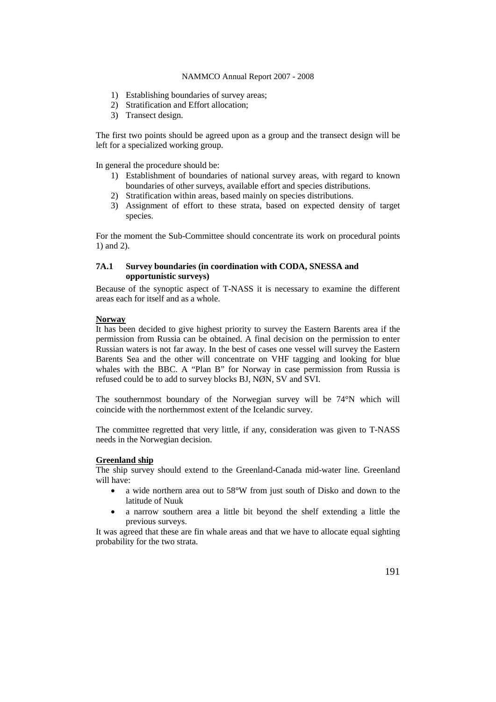- 1) Establishing boundaries of survey areas;
- 2) Stratification and Effort allocation;
- 3) Transect design.

The first two points should be agreed upon as a group and the transect design will be left for a specialized working group.

In general the procedure should be:

- 1) Establishment of boundaries of national survey areas, with regard to known boundaries of other surveys, available effort and species distributions.
- 2) Stratification within areas, based mainly on species distributions.
- 3) Assignment of effort to these strata, based on expected density of target species.

For the moment the Sub-Committee should concentrate its work on procedural points 1) and 2).

### **7A.1 Survey boundaries (in coordination with CODA, SNESSA and opportunistic surveys)**

Because of the synoptic aspect of T-NASS it is necessary to examine the different areas each for itself and as a whole.

### **Norway**

It has been decided to give highest priority to survey the Eastern Barents area if the permission from Russia can be obtained. A final decision on the permission to enter Russian waters is not far away. In the best of cases one vessel will survey the Eastern Barents Sea and the other will concentrate on VHF tagging and looking for blue whales with the BBC. A "Plan B" for Norway in case permission from Russia is refused could be to add to survey blocks BJ, NØN, SV and SVI.

The southernmost boundary of the Norwegian survey will be 74°N which will coincide with the northernmost extent of the Icelandic survey.

The committee regretted that very little, if any, consideration was given to T-NASS needs in the Norwegian decision.

### **Greenland ship**

The ship survey should extend to the Greenland-Canada mid-water line. Greenland will have:

- a wide northern area out to 58°W from just south of Disko and down to the latitude of Nuuk
- a narrow southern area a little bit beyond the shelf extending a little the previous surveys.

It was agreed that these are fin whale areas and that we have to allocate equal sighting probability for the two strata.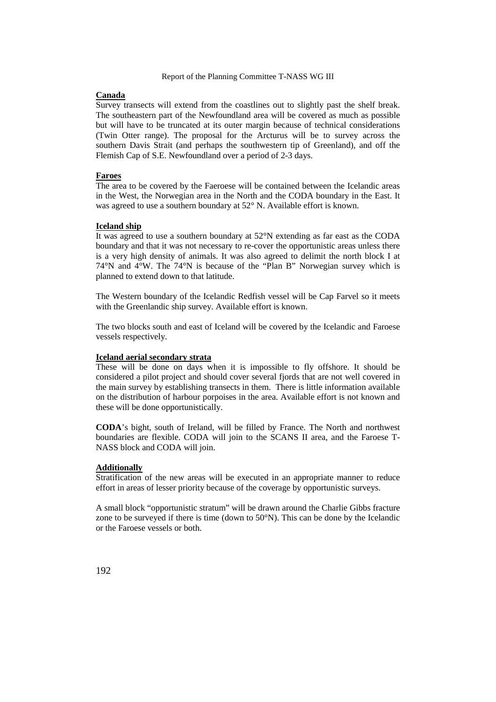### **Canada**

Survey transects will extend from the coastlines out to slightly past the shelf break. The southeastern part of the Newfoundland area will be covered as much as possible but will have to be truncated at its outer margin because of technical considerations (Twin Otter range). The proposal for the Arcturus will be to survey across the southern Davis Strait (and perhaps the southwestern tip of Greenland), and off the Flemish Cap of S.E. Newfoundland over a period of 2-3 days.

### **Faroes**

The area to be covered by the Faeroese will be contained between the Icelandic areas in the West, the Norwegian area in the North and the CODA boundary in the East. It was agreed to use a southern boundary at 52° N. Available effort is known.

#### **Iceland ship**

It was agreed to use a southern boundary at 52°N extending as far east as the CODA boundary and that it was not necessary to re-cover the opportunistic areas unless there is a very high density of animals. It was also agreed to delimit the north block I at 74°N and 4°W. The 74°N is because of the "Plan B" Norwegian survey which is planned to extend down to that latitude.

The Western boundary of the Icelandic Redfish vessel will be Cap Farvel so it meets with the Greenlandic ship survey. Available effort is known.

The two blocks south and east of Iceland will be covered by the Icelandic and Faroese vessels respectively.

#### **Iceland aerial secondary strata**

These will be done on days when it is impossible to fly offshore. It should be considered a pilot project and should cover several fjords that are not well covered in the main survey by establishing transects in them. There is little information available on the distribution of harbour porpoises in the area. Available effort is not known and these will be done opportunistically.

**CODA**'s bight, south of Ireland, will be filled by France. The North and northwest boundaries are flexible. CODA will join to the SCANS II area, and the Faroese T-NASS block and CODA will join.

#### **Additionally**

Stratification of the new areas will be executed in an appropriate manner to reduce effort in areas of lesser priority because of the coverage by opportunistic surveys.

A small block "opportunistic stratum" will be drawn around the Charlie Gibbs fracture zone to be surveyed if there is time (down to 50°N). This can be done by the Icelandic or the Faroese vessels or both.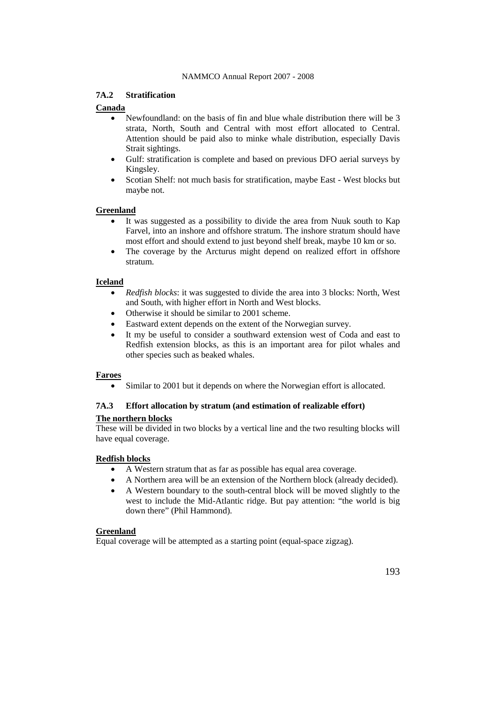## **7A.2 Stratification**

## **Canada**

- Newfoundland: on the basis of fin and blue whale distribution there will be 3 strata, North, South and Central with most effort allocated to Central. Attention should be paid also to minke whale distribution, especially Davis Strait sightings.
- Gulf: stratification is complete and based on previous DFO aerial surveys by Kingsley.
- Scotian Shelf: not much basis for stratification, maybe East West blocks but maybe not.

### **Greenland**

- It was suggested as a possibility to divide the area from Nuuk south to Kap Farvel, into an inshore and offshore stratum. The inshore stratum should have most effort and should extend to just beyond shelf break, maybe 10 km or so.
- The coverage by the Arcturus might depend on realized effort in offshore stratum.

### **Iceland**

- *Redfish blocks*: it was suggested to divide the area into 3 blocks: North, West and South, with higher effort in North and West blocks.
- Otherwise it should be similar to 2001 scheme.
- Eastward extent depends on the extent of the Norwegian survey.
- It my be useful to consider a southward extension west of Coda and east to Redfish extension blocks, as this is an important area for pilot whales and other species such as beaked whales.

### **Faroes**

• Similar to 2001 but it depends on where the Norwegian effort is allocated.

## **7A.3 Effort allocation by stratum (and estimation of realizable effort)**

### **The northern blocks**

These will be divided in two blocks by a vertical line and the two resulting blocks will have equal coverage.

### **Redfish blocks**

- A Western stratum that as far as possible has equal area coverage.
- A Northern area will be an extension of the Northern block (already decided).
- A Western boundary to the south-central block will be moved slightly to the west to include the Mid-Atlantic ridge. But pay attention: "the world is big down there" (Phil Hammond).

### **Greenland**

Equal coverage will be attempted as a starting point (equal-space zigzag).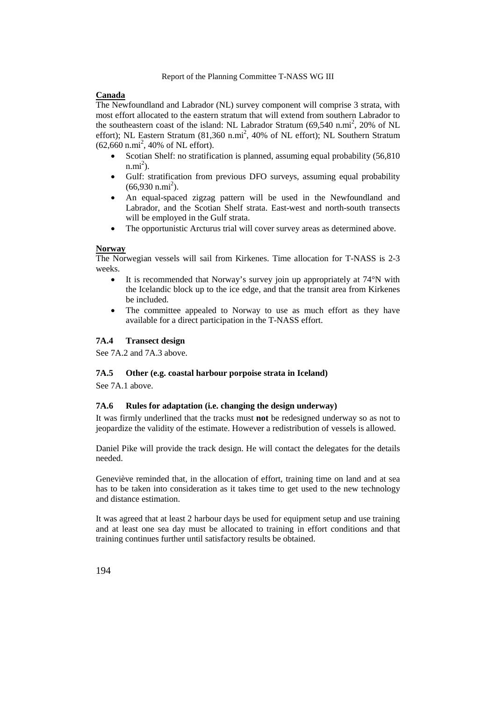## **Canada**

The Newfoundland and Labrador (NL) survey component will comprise 3 strata, with most effort allocated to the eastern stratum that will extend from southern Labrador to the southeastern coast of the island: NL Labrador Stratum  $(69,540 \text{ n.mi}^2, 20\% \text{ of NL})$ effort); NL Eastern Stratum  $(81,360 \text{ n.mi}^2, 40\% \text{ of NL effort})$ ; NL Southern Stratum  $(62,660 \text{ n.mi}^2, 40\% \text{ of NL effort}).$ 

- Scotian Shelf: no stratification is planned, assuming equal probability (56,810)  $n.mi<sup>2</sup>$ ).
- Gulf: stratification from previous DFO surveys, assuming equal probability  $(66,930 \text{ n.mi}^2)$ .
- An equal-spaced zigzag pattern will be used in the Newfoundland and Labrador, and the Scotian Shelf strata. East-west and north-south transects will be employed in the Gulf strata.
- The opportunistic Arcturus trial will cover survey areas as determined above.

### **Norway**

The Norwegian vessels will sail from Kirkenes. Time allocation for T-NASS is 2-3 weeks.

- It is recommended that Norway's survey join up appropriately at 74°N with the Icelandic block up to the ice edge, and that the transit area from Kirkenes be included.
- The committee appealed to Norway to use as much effort as they have available for a direct participation in the T-NASS effort.

## **7A.4 Transect design**

See 7A.2 and 7A.3 above.

## **7A.5 Other (e.g. coastal harbour porpoise strata in Iceland)**

See 7A.1 above.

### **7A.6 Rules for adaptation (i.e. changing the design underway)**

It was firmly underlined that the tracks must **not** be redesigned underway so as not to jeopardize the validity of the estimate. However a redistribution of vessels is allowed.

Daniel Pike will provide the track design. He will contact the delegates for the details needed.

Geneviève reminded that, in the allocation of effort, training time on land and at sea has to be taken into consideration as it takes time to get used to the new technology and distance estimation.

It was agreed that at least 2 harbour days be used for equipment setup and use training and at least one sea day must be allocated to training in effort conditions and that training continues further until satisfactory results be obtained.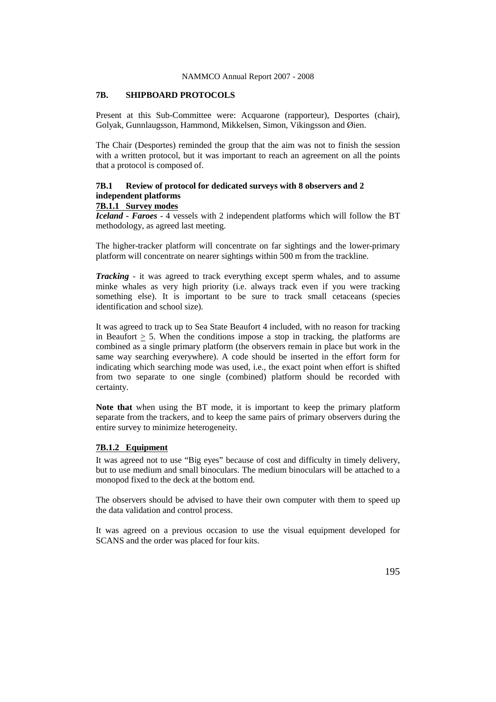## **7B. SHIPBOARD PROTOCOLS**

Present at this Sub-Committee were: Acquarone (rapporteur), Desportes (chair), Golyak, Gunnlaugsson, Hammond, Mikkelsen, Simon, Vikingsson and Øien.

The Chair (Desportes) reminded the group that the aim was not to finish the session with a written protocol, but it was important to reach an agreement on all the points that a protocol is composed of.

## **7B.1 Review of protocol for dedicated surveys with 8 observers and 2 independent platforms**

## **7B.1.1 Survey modes**

*Iceland - Faroes* - 4 vessels with 2 independent platforms which will follow the BT methodology, as agreed last meeting.

The higher-tracker platform will concentrate on far sightings and the lower-primary platform will concentrate on nearer sightings within 500 m from the trackline.

*Tracking -* it was agreed to track everything except sperm whales, and to assume minke whales as very high priority (i.e. always track even if you were tracking something else). It is important to be sure to track small cetaceans (species identification and school size).

It was agreed to track up to Sea State Beaufort 4 included, with no reason for tracking in Beaufort  $> 5$ . When the conditions impose a stop in tracking, the platforms are combined as a single primary platform (the observers remain in place but work in the same way searching everywhere). A code should be inserted in the effort form for indicating which searching mode was used, i.e., the exact point when effort is shifted from two separate to one single (combined) platform should be recorded with certainty.

**Note that** when using the BT mode, it is important to keep the primary platform separate from the trackers, and to keep the same pairs of primary observers during the entire survey to minimize heterogeneity.

### **7B.1.2 Equipment**

It was agreed not to use "Big eyes" because of cost and difficulty in timely delivery, but to use medium and small binoculars. The medium binoculars will be attached to a monopod fixed to the deck at the bottom end.

The observers should be advised to have their own computer with them to speed up the data validation and control process.

It was agreed on a previous occasion to use the visual equipment developed for SCANS and the order was placed for four kits.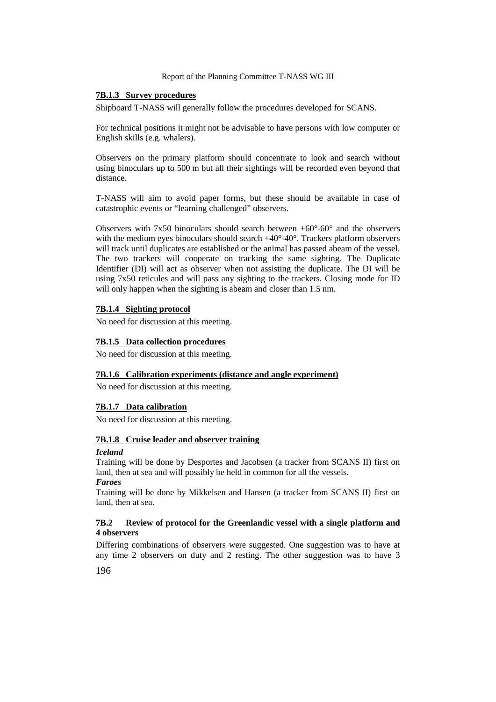### **7B.1.3 Survey procedures**

Shipboard T-NASS will generally follow the procedures developed for SCANS.

For technical positions it might not be advisable to have persons with low computer or English skills (e.g. whalers).

Observers on the primary platform should concentrate to look and search without using binoculars up to 500 m but all their sightings will be recorded even beyond that distance.

T-NASS will aim to avoid paper forms, but these should be available in case of catastrophic events or "learning challenged" observers.

Observers with 7x50 binoculars should search between +60°-60° and the observers with the medium eyes binoculars should search  $+40^{\circ}$ -40°. Trackers platform observers will track until duplicates are established or the animal has passed abeam of the vessel. The two trackers will cooperate on tracking the same sighting. The Duplicate Identifier (DI) will act as observer when not assisting the duplicate. The DI will be using 7x50 reticules and will pass any sighting to the trackers. Closing mode for ID will only happen when the sighting is abeam and closer than 1.5 nm.

### **7B.1.4 Sighting protocol**

No need for discussion at this meeting.

### **7B.1.5 Data collection procedures**

No need for discussion at this meeting.

### **7B.1.6 Calibration experiments (distance and angle experiment)**

No need for discussion at this meeting.

### **7B.1.7 Data calibration**

No need for discussion at this meeting.

### **7B.1.8 Cruise leader and observer training**

### *Iceland*

Training will be done by Desportes and Jacobsen (a tracker from SCANS II) first on land, then at sea and will possibly be held in common for all the vessels. *Faroes*

Training will be done by Mikkelsen and Hansen (a tracker from SCANS II) first on land, then at sea.

### **7B.2 Review of protocol for the Greenlandic vessel with a single platform and 4 observers**

Differing combinations of observers were suggested. One suggestion was to have at any time 2 observers on duty and 2 resting. The other suggestion was to have 3

196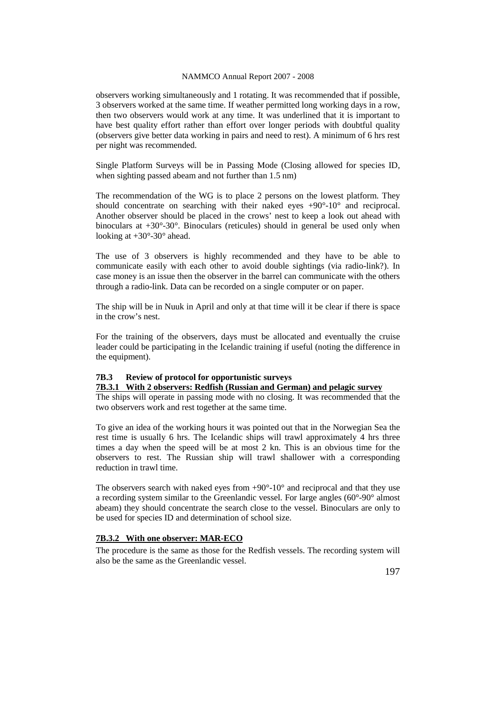observers working simultaneously and 1 rotating. It was recommended that if possible, 3 observers worked at the same time. If weather permitted long working days in a row, then two observers would work at any time. It was underlined that it is important to have best quality effort rather than effort over longer periods with doubtful quality (observers give better data working in pairs and need to rest). A minimum of 6 hrs rest per night was recommended.

Single Platform Surveys will be in Passing Mode (Closing allowed for species ID, when sighting passed abeam and not further than 1.5 nm)

The recommendation of the WG is to place 2 persons on the lowest platform. They should concentrate on searching with their naked eyes +90°-10° and reciprocal. Another observer should be placed in the crows' nest to keep a look out ahead with binoculars at +30°-30°. Binoculars (reticules) should in general be used only when looking at  $+30^{\circ}$ -30° ahead.

The use of 3 observers is highly recommended and they have to be able to communicate easily with each other to avoid double sightings (via radio-link?). In case money is an issue then the observer in the barrel can communicate with the others through a radio-link. Data can be recorded on a single computer or on paper.

The ship will be in Nuuk in April and only at that time will it be clear if there is space in the crow's nest.

For the training of the observers, days must be allocated and eventually the cruise leader could be participating in the Icelandic training if useful (noting the difference in the equipment).

## **7B.3 Review of protocol for opportunistic surveys**

## **7B.3.1 With 2 observers: Redfish (Russian and German) and pelagic survey**

The ships will operate in passing mode with no closing. It was recommended that the two observers work and rest together at the same time.

To give an idea of the working hours it was pointed out that in the Norwegian Sea the rest time is usually 6 hrs. The Icelandic ships will trawl approximately 4 hrs three times a day when the speed will be at most 2 kn. This is an obvious time for the observers to rest. The Russian ship will trawl shallower with a corresponding reduction in trawl time.

The observers search with naked eyes from  $+90^{\circ}$ -10 $^{\circ}$  and reciprocal and that they use a recording system similar to the Greenlandic vessel. For large angles (60°-90° almost abeam) they should concentrate the search close to the vessel. Binoculars are only to be used for species ID and determination of school size.

#### **7B.3.2 With one observer: MAR-ECO**

The procedure is the same as those for the Redfish vessels. The recording system will also be the same as the Greenlandic vessel.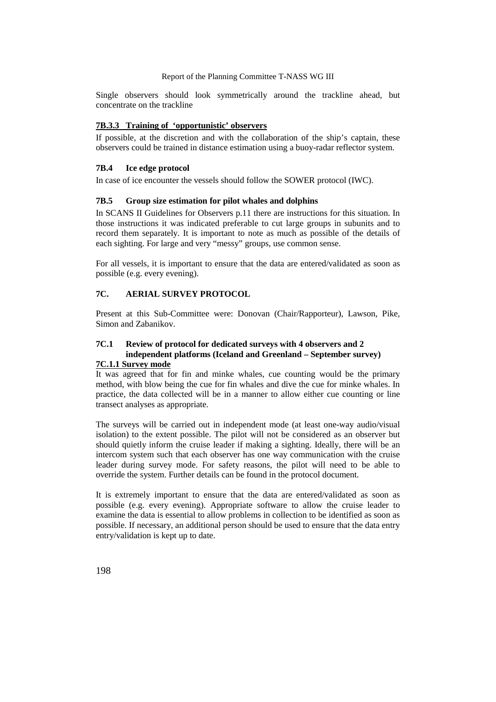Single observers should look symmetrically around the trackline ahead, but concentrate on the trackline

## **7B.3.3 Training of 'opportunistic' observers**

If possible, at the discretion and with the collaboration of the ship's captain, these observers could be trained in distance estimation using a buoy-radar reflector system.

### **7B.4 Ice edge protocol**

In case of ice encounter the vessels should follow the SOWER protocol (IWC).

### **7B.5 Group size estimation for pilot whales and dolphins**

In SCANS II Guidelines for Observers p.11 there are instructions for this situation. In those instructions it was indicated preferable to cut large groups in subunits and to record them separately. It is important to note as much as possible of the details of each sighting. For large and very "messy" groups, use common sense.

For all vessels, it is important to ensure that the data are entered/validated as soon as possible (e.g. every evening).

## **7C. AERIAL SURVEY PROTOCOL**

Present at this Sub-Committee were: Donovan (Chair/Rapporteur), Lawson, Pike, Simon and Zabanikov.

## **7C.1 Review of protocol for dedicated surveys with 4 observers and 2 independent platforms (Iceland and Greenland – September survey)**

## **7C.1.1 Survey mode**

It was agreed that for fin and minke whales, cue counting would be the primary method, with blow being the cue for fin whales and dive the cue for minke whales. In practice, the data collected will be in a manner to allow either cue counting or line transect analyses as appropriate.

The surveys will be carried out in independent mode (at least one-way audio/visual isolation) to the extent possible. The pilot will not be considered as an observer but should quietly inform the cruise leader if making a sighting. Ideally, there will be an intercom system such that each observer has one way communication with the cruise leader during survey mode. For safety reasons, the pilot will need to be able to override the system. Further details can be found in the protocol document.

It is extremely important to ensure that the data are entered/validated as soon as possible (e.g. every evening). Appropriate software to allow the cruise leader to examine the data is essential to allow problems in collection to be identified as soon as possible. If necessary, an additional person should be used to ensure that the data entry entry/validation is kept up to date.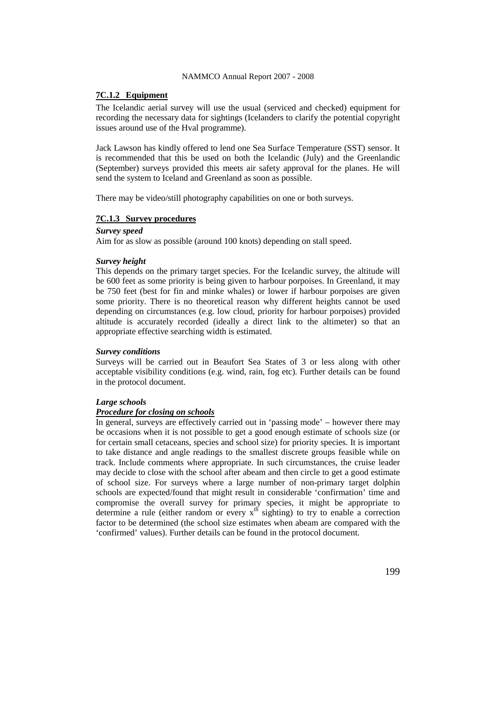### **7C.1.2 Equipment**

The Icelandic aerial survey will use the usual (serviced and checked) equipment for recording the necessary data for sightings (Icelanders to clarify the potential copyright issues around use of the Hval programme).

Jack Lawson has kindly offered to lend one Sea Surface Temperature (SST) sensor. It is recommended that this be used on both the Icelandic (July) and the Greenlandic (September) surveys provided this meets air safety approval for the planes. He will send the system to Iceland and Greenland as soon as possible.

There may be video/still photography capabilities on one or both surveys.

### **7C.1.3 Survey procedures**

#### *Survey speed*

Aim for as slow as possible (around 100 knots) depending on stall speed.

#### *Survey height*

This depends on the primary target species. For the Icelandic survey, the altitude will be 600 feet as some priority is being given to harbour porpoises. In Greenland, it may be 750 feet (best for fin and minke whales) or lower if harbour porpoises are given some priority. There is no theoretical reason why different heights cannot be used depending on circumstances (e.g. low cloud, priority for harbour porpoises) provided altitude is accurately recorded (ideally a direct link to the altimeter) so that an appropriate effective searching width is estimated.

#### *Survey conditions*

Surveys will be carried out in Beaufort Sea States of 3 or less along with other acceptable visibility conditions (e.g. wind, rain, fog etc). Further details can be found in the protocol document.

### *Large schools*

### *Procedure for closing on schools*

In general, surveys are effectively carried out in 'passing mode' – however there may be occasions when it is not possible to get a good enough estimate of schools size (or for certain small cetaceans, species and school size) for priority species. It is important to take distance and angle readings to the smallest discrete groups feasible while on track. Include comments where appropriate. In such circumstances, the cruise leader may decide to close with the school after abeam and then circle to get a good estimate of school size. For surveys where a large number of non-primary target dolphin schools are expected/found that might result in considerable 'confirmation' time and compromise the overall survey for primary species, it might be appropriate to determine a rule (either random or every  $x<sup>th</sup>$  sighting) to try to enable a correction factor to be determined (the school size estimates when abeam are compared with the 'confirmed' values). Further details can be found in the protocol document.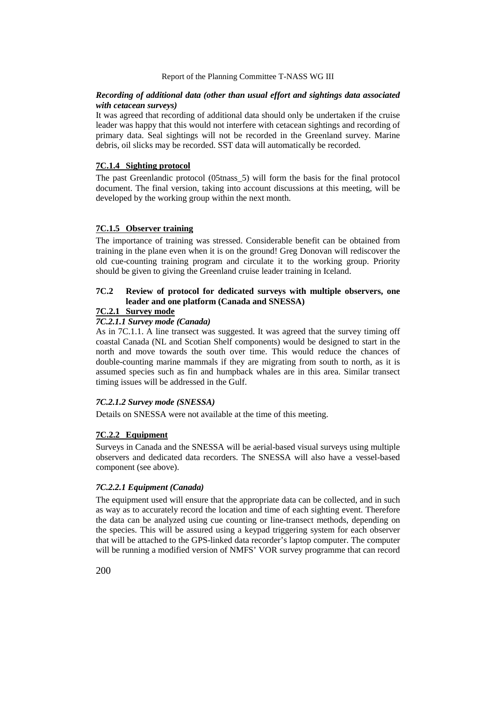### *Recording of additional data (other than usual effort and sightings data associated with cetacean surveys)*

It was agreed that recording of additional data should only be undertaken if the cruise leader was happy that this would not interfere with cetacean sightings and recording of primary data. Seal sightings will not be recorded in the Greenland survey. Marine debris, oil slicks may be recorded. SST data will automatically be recorded.

#### **7C.1.4 Sighting protocol**

The past Greenlandic protocol (05tnass\_5) will form the basis for the final protocol document. The final version, taking into account discussions at this meeting, will be developed by the working group within the next month.

### **7C.1.5 Observer training**

The importance of training was stressed. Considerable benefit can be obtained from training in the plane even when it is on the ground! Greg Donovan will rediscover the old cue-counting training program and circulate it to the working group. Priority should be given to giving the Greenland cruise leader training in Iceland.

## **7C.2 Review of protocol for dedicated surveys with multiple observers, one leader and one platform (Canada and SNESSA)**

### **7C.2.1 Survey mode**

## *7C.2.1.1 Survey mode (Canada)*

As in 7C.1.1. A line transect was suggested. It was agreed that the survey timing off coastal Canada (NL and Scotian Shelf components) would be designed to start in the north and move towards the south over time. This would reduce the chances of double-counting marine mammals if they are migrating from south to north, as it is assumed species such as fin and humpback whales are in this area. Similar transect timing issues will be addressed in the Gulf.

#### *7C.2.1.2 Survey mode (SNESSA)*

Details on SNESSA were not available at the time of this meeting.

### **7C.2.2 Equipment**

Surveys in Canada and the SNESSA will be aerial-based visual surveys using multiple observers and dedicated data recorders. The SNESSA will also have a vessel-based component (see above).

### *7C.2.2.1 Equipment (Canada)*

The equipment used will ensure that the appropriate data can be collected, and in such as way as to accurately record the location and time of each sighting event. Therefore the data can be analyzed using cue counting or line-transect methods, depending on the species. This will be assured using a keypad triggering system for each observer that will be attached to the GPS-linked data recorder's laptop computer. The computer will be running a modified version of NMFS' VOR survey programme that can record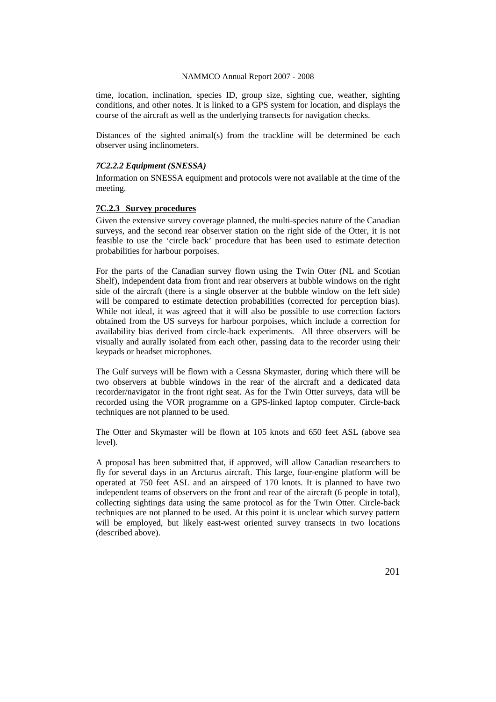time, location, inclination, species ID, group size, sighting cue, weather, sighting conditions, and other notes. It is linked to a GPS system for location, and displays the course of the aircraft as well as the underlying transects for navigation checks.

Distances of the sighted animal(s) from the trackline will be determined be each observer using inclinometers.

### *7C2.2.2 Equipment (SNESSA)*

Information on SNESSA equipment and protocols were not available at the time of the meeting.

## **7C.2.3 Survey procedures**

Given the extensive survey coverage planned, the multi-species nature of the Canadian surveys, and the second rear observer station on the right side of the Otter, it is not feasible to use the 'circle back' procedure that has been used to estimate detection probabilities for harbour porpoises.

For the parts of the Canadian survey flown using the Twin Otter (NL and Scotian Shelf), independent data from front and rear observers at bubble windows on the right side of the aircraft (there is a single observer at the bubble window on the left side) will be compared to estimate detection probabilities (corrected for perception bias). While not ideal, it was agreed that it will also be possible to use correction factors obtained from the US surveys for harbour porpoises, which include a correction for availability bias derived from circle-back experiments. All three observers will be visually and aurally isolated from each other, passing data to the recorder using their keypads or headset microphones.

The Gulf surveys will be flown with a Cessna Skymaster, during which there will be two observers at bubble windows in the rear of the aircraft and a dedicated data recorder/navigator in the front right seat. As for the Twin Otter surveys, data will be recorded using the VOR programme on a GPS-linked laptop computer. Circle-back techniques are not planned to be used.

The Otter and Skymaster will be flown at 105 knots and 650 feet ASL (above sea level).

A proposal has been submitted that, if approved, will allow Canadian researchers to fly for several days in an Arcturus aircraft. This large, four-engine platform will be operated at 750 feet ASL and an airspeed of 170 knots. It is planned to have two independent teams of observers on the front and rear of the aircraft (6 people in total), collecting sightings data using the same protocol as for the Twin Otter. Circle-back techniques are not planned to be used. At this point it is unclear which survey pattern will be employed, but likely east-west oriented survey transects in two locations (described above).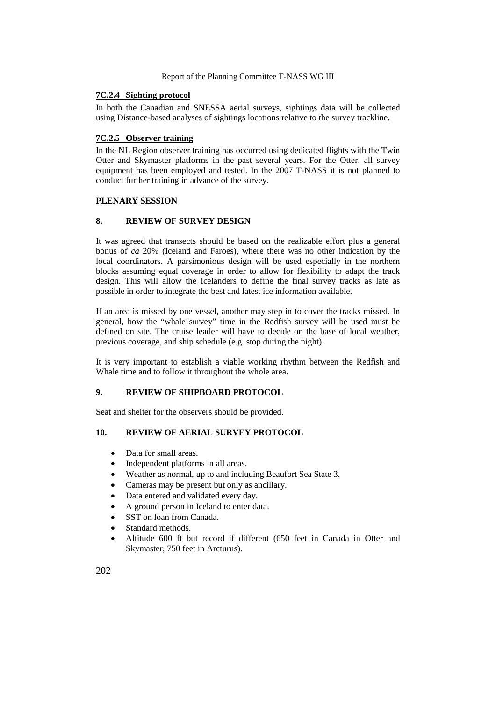### **7C.2.4 Sighting protocol**

In both the Canadian and SNESSA aerial surveys, sightings data will be collected using Distance-based analyses of sightings locations relative to the survey trackline.

## **7C.2.5 Observer training**

In the NL Region observer training has occurred using dedicated flights with the Twin Otter and Skymaster platforms in the past several years. For the Otter, all survey equipment has been employed and tested. In the 2007 T-NASS it is not planned to conduct further training in advance of the survey.

## **PLENARY SESSION**

## **8. REVIEW OF SURVEY DESIGN**

It was agreed that transects should be based on the realizable effort plus a general bonus of *ca* 20% (Iceland and Faroes), where there was no other indication by the local coordinators. A parsimonious design will be used especially in the northern blocks assuming equal coverage in order to allow for flexibility to adapt the track design. This will allow the Icelanders to define the final survey tracks as late as possible in order to integrate the best and latest ice information available.

If an area is missed by one vessel, another may step in to cover the tracks missed. In general, how the "whale survey" time in the Redfish survey will be used must be defined on site. The cruise leader will have to decide on the base of local weather, previous coverage, and ship schedule (e.g. stop during the night).

It is very important to establish a viable working rhythm between the Redfish and Whale time and to follow it throughout the whole area.

## **9. REVIEW OF SHIPBOARD PROTOCOL**

Seat and shelter for the observers should be provided.

## **10. REVIEW OF AERIAL SURVEY PROTOCOL**

- Data for small areas.
- Independent platforms in all areas.
- Weather as normal, up to and including Beaufort Sea State 3.
- Cameras may be present but only as ancillary.
- Data entered and validated every day.
- A ground person in Iceland to enter data.
- SST on loan from Canada.
- Standard methods.
- Altitude 600 ft but record if different (650 feet in Canada in Otter and Skymaster, 750 feet in Arcturus).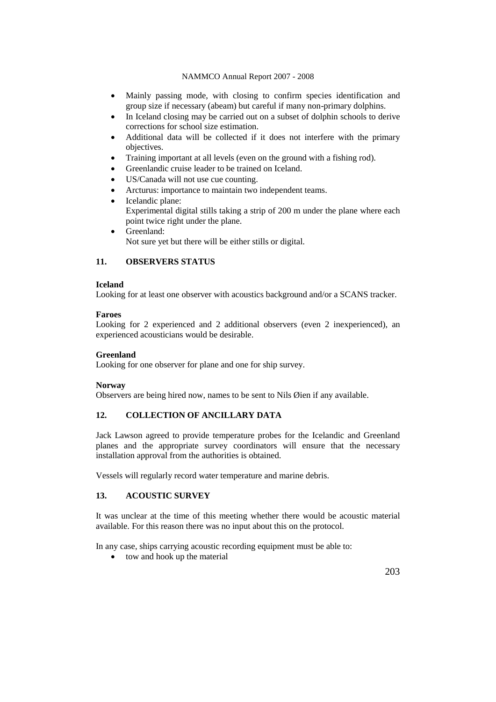- Mainly passing mode, with closing to confirm species identification and group size if necessary (abeam) but careful if many non-primary dolphins.
- In Iceland closing may be carried out on a subset of dolphin schools to derive corrections for school size estimation.
- Additional data will be collected if it does not interfere with the primary objectives.
- Training important at all levels (even on the ground with a fishing rod).
- Greenlandic cruise leader to be trained on Iceland.
- US/Canada will not use cue counting.
- Arcturus: importance to maintain two independent teams.
- Icelandic plane: Experimental digital stills taking a strip of 200 m under the plane where each point twice right under the plane.
- Greenland: Not sure yet but there will be either stills or digital.

## **11. OBSERVERS STATUS**

### **Iceland**

Looking for at least one observer with acoustics background and/or a SCANS tracker.

### **Faroes**

Looking for 2 experienced and 2 additional observers (even 2 inexperienced), an experienced acousticians would be desirable.

### **Greenland**

Looking for one observer for plane and one for ship survey.

### **Norway**

Observers are being hired now, names to be sent to Nils Øien if any available.

## **12. COLLECTION OF ANCILLARY DATA**

Jack Lawson agreed to provide temperature probes for the Icelandic and Greenland planes and the appropriate survey coordinators will ensure that the necessary installation approval from the authorities is obtained.

Vessels will regularly record water temperature and marine debris.

## **13. ACOUSTIC SURVEY**

It was unclear at the time of this meeting whether there would be acoustic material available. For this reason there was no input about this on the protocol.

In any case, ships carrying acoustic recording equipment must be able to:

tow and hook up the material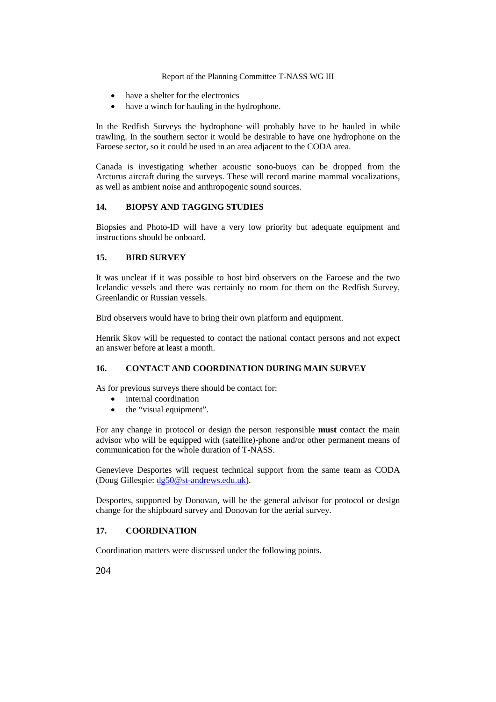- have a shelter for the electronics
- have a winch for hauling in the hydrophone.

In the Redfish Surveys the hydrophone will probably have to be hauled in while trawling. In the southern sector it would be desirable to have one hydrophone on the Faroese sector, so it could be used in an area adjacent to the CODA area.

Canada is investigating whether acoustic sono-buoys can be dropped from the Arcturus aircraft during the surveys. These will record marine mammal vocalizations, as well as ambient noise and anthropogenic sound sources.

## **14. BIOPSY AND TAGGING STUDIES**

Biopsies and Photo-ID will have a very low priority but adequate equipment and instructions should be onboard.

## **15. BIRD SURVEY**

It was unclear if it was possible to host bird observers on the Faroese and the two Icelandic vessels and there was certainly no room for them on the Redfish Survey, Greenlandic or Russian vessels.

Bird observers would have to bring their own platform and equipment.

Henrik Skov will be requested to contact the national contact persons and not expect an answer before at least a month.

## **16. CONTACT AND COORDINATION DURING MAIN SURVEY**

As for previous surveys there should be contact for:

- internal coordination
- the "visual equipment".

For any change in protocol or design the person responsible **must** contact the main advisor who will be equipped with (satellite)-phone and/or other permanent means of communication for the whole duration of T-NASS.

Genevieve Desportes will request technical support from the same team as CODA (Doug Gillespie: [dg50@st-andrews.edu.uk\)](mailto:dg50@st-andrews.edu.uk).

Desportes, supported by Donovan, will be the general advisor for protocol or design change for the shipboard survey and Donovan for the aerial survey.

### **17. COORDINATION**

Coordination matters were discussed under the following points.

204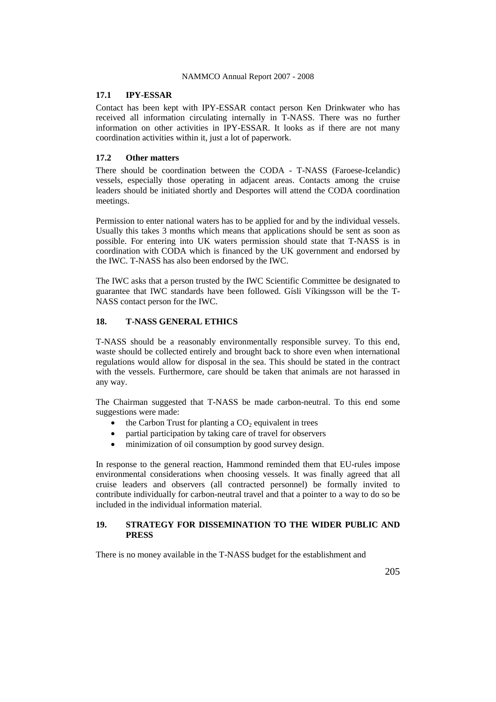## **17.1 IPY-ESSAR**

Contact has been kept with IPY-ESSAR contact person Ken Drinkwater who has received all information circulating internally in T-NASS. There was no further information on other activities in IPY-ESSAR. It looks as if there are not many coordination activities within it, just a lot of paperwork.

## **17.2 Other matters**

There should be coordination between the CODA - T-NASS (Faroese-Icelandic) vessels, especially those operating in adjacent areas. Contacts among the cruise leaders should be initiated shortly and Desportes will attend the CODA coordination meetings.

Permission to enter national waters has to be applied for and by the individual vessels. Usually this takes 3 months which means that applications should be sent as soon as possible. For entering into UK waters permission should state that T-NASS is in coordination with CODA which is financed by the UK government and endorsed by the IWC. T-NASS has also been endorsed by the IWC.

The IWC asks that a person trusted by the IWC Scientific Committee be designated to guarantee that IWC standards have been followed. Gísli Víkingsson will be the T-NASS contact person for the IWC.

### **18. T-NASS GENERAL ETHICS**

T-NASS should be a reasonably environmentally responsible survey. To this end, waste should be collected entirely and brought back to shore even when international regulations would allow for disposal in the sea. This should be stated in the contract with the vessels. Furthermore, care should be taken that animals are not harassed in any way.

The Chairman suggested that T-NASS be made carbon-neutral. To this end some suggestions were made:

- the Carbon Trust for planting a  $CO<sub>2</sub>$  equivalent in trees
- partial participation by taking care of travel for observers
- minimization of oil consumption by good survey design.

In response to the general reaction, Hammond reminded them that EU-rules impose environmental considerations when choosing vessels. It was finally agreed that all cruise leaders and observers (all contracted personnel) be formally invited to contribute individually for carbon-neutral travel and that a pointer to a way to do so be included in the individual information material.

## **19. STRATEGY FOR DISSEMINATION TO THE WIDER PUBLIC AND PRESS**

There is no money available in the T-NASS budget for the establishment and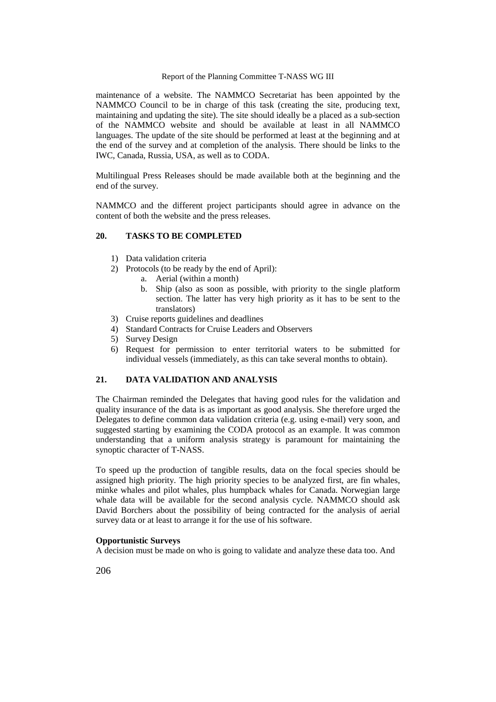maintenance of a website. The NAMMCO Secretariat has been appointed by the NAMMCO Council to be in charge of this task (creating the site, producing text, maintaining and updating the site). The site should ideally be a placed as a sub-section of the NAMMCO website and should be available at least in all NAMMCO languages. The update of the site should be performed at least at the beginning and at the end of the survey and at completion of the analysis. There should be links to the IWC, Canada, Russia, USA, as well as to CODA.

Multilingual Press Releases should be made available both at the beginning and the end of the survey.

NAMMCO and the different project participants should agree in advance on the content of both the website and the press releases.

## **20. TASKS TO BE COMPLETED**

- 1) Data validation criteria
- 2) Protocols (to be ready by the end of April):
	- a. Aerial (within a month)
	- b. Ship (also as soon as possible, with priority to the single platform section. The latter has very high priority as it has to be sent to the translators)
- 3) Cruise reports guidelines and deadlines
- 4) Standard Contracts for Cruise Leaders and Observers
- 5) Survey Design
- 6) Request for permission to enter territorial waters to be submitted for individual vessels (immediately, as this can take several months to obtain).

## **21. DATA VALIDATION AND ANALYSIS**

The Chairman reminded the Delegates that having good rules for the validation and quality insurance of the data is as important as good analysis. She therefore urged the Delegates to define common data validation criteria (e.g. using e-mail) very soon, and suggested starting by examining the CODA protocol as an example. It was common understanding that a uniform analysis strategy is paramount for maintaining the synoptic character of T-NASS.

To speed up the production of tangible results, data on the focal species should be assigned high priority. The high priority species to be analyzed first, are fin whales, minke whales and pilot whales, plus humpback whales for Canada. Norwegian large whale data will be available for the second analysis cycle. NAMMCO should ask David Borchers about the possibility of being contracted for the analysis of aerial survey data or at least to arrange it for the use of his software.

#### **Opportunistic Surveys**

A decision must be made on who is going to validate and analyze these data too. And

206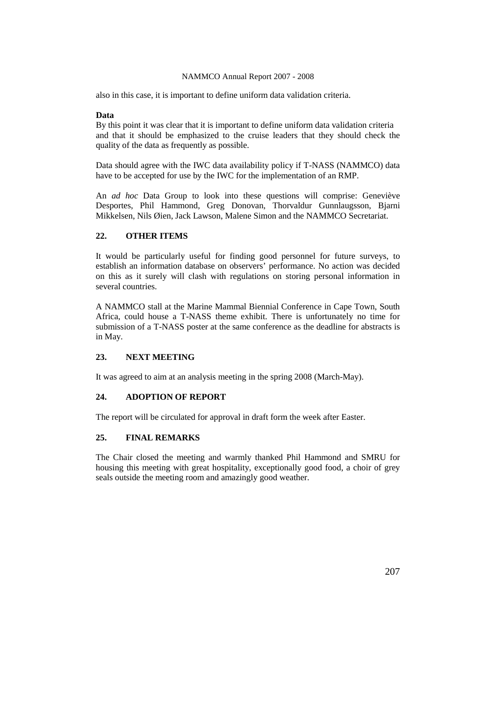also in this case, it is important to define uniform data validation criteria.

### **Data**

By this point it was clear that it is important to define uniform data validation criteria and that it should be emphasized to the cruise leaders that they should check the quality of the data as frequently as possible.

Data should agree with the IWC data availability policy if T-NASS (NAMMCO) data have to be accepted for use by the IWC for the implementation of an RMP.

An *ad hoc* Data Group to look into these questions will comprise: Geneviève Desportes, Phil Hammond, Greg Donovan, Thorvaldur Gunnlaugsson, Bjarni Mikkelsen, Nils Øien, Jack Lawson, Malene Simon and the NAMMCO Secretariat.

## **22. OTHER ITEMS**

It would be particularly useful for finding good personnel for future surveys, to establish an information database on observers' performance. No action was decided on this as it surely will clash with regulations on storing personal information in several countries.

A NAMMCO stall at the Marine Mammal Biennial Conference in Cape Town, South Africa, could house a T-NASS theme exhibit. There is unfortunately no time for submission of a T-NASS poster at the same conference as the deadline for abstracts is in May.

### **23. NEXT MEETING**

It was agreed to aim at an analysis meeting in the spring 2008 (March-May).

## **24. ADOPTION OF REPORT**

The report will be circulated for approval in draft form the week after Easter.

### **25. FINAL REMARKS**

The Chair closed the meeting and warmly thanked Phil Hammond and SMRU for housing this meeting with great hospitality, exceptionally good food, a choir of grey seals outside the meeting room and amazingly good weather.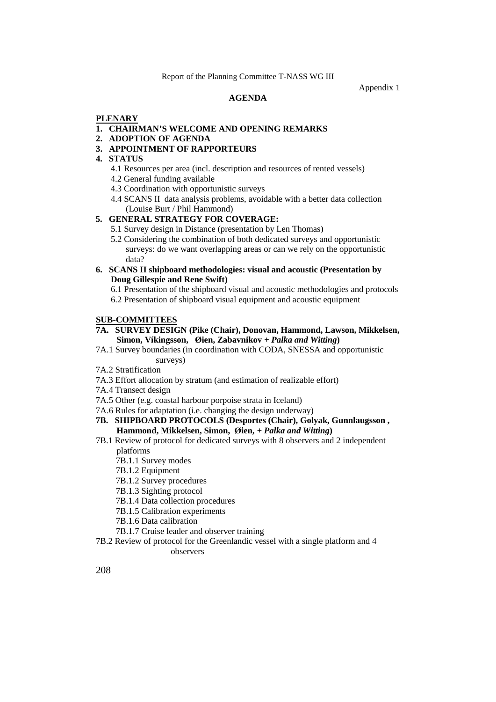### Appendix 1

### **AGENDA**

#### **PLENARY**

### **1. CHAIRMAN'S WELCOME AND OPENING REMARKS**

- **2. ADOPTION OF AGENDA**
- **3. APPOINTMENT OF RAPPORTEURS**
- **4. STATUS**
	- 4.1 Resources per area (incl. description and resources of rented vessels)
	- 4.2 General funding available
	- 4.3 Coordination with opportunistic surveys
	- 4.4 SCANS II data analysis problems, avoidable with a better data collection (Louise Burt / Phil Hammond)

## **5. GENERAL STRATEGY FOR COVERAGE:**

- 5.1 Survey design in Distance (presentation by Len Thomas)
- 5.2 Considering the combination of both dedicated surveys and opportunistic surveys: do we want overlapping areas or can we rely on the opportunistic data?
- **6. SCANS II shipboard methodologies: visual and acoustic (Presentation by Doug Gillespie and Rene Swift)**

6.1 Presentation of the shipboard visual and acoustic methodologies and protocols 6.2 Presentation of shipboard visual equipment and acoustic equipment

### **SUB-COMMITTEES**

#### **7A. SURVEY DESIGN (Pike (Chair), Donovan, Hammond, Lawson, Mikkelsen, Simon, Víkingsson, Øien, Zabavnikov** *+ Palka and Witting***)**

7A.1 Survey boundaries (in coordination with CODA, SNESSA and opportunistic surveys)

- 7A.2 Stratification
- 7A.3 Effort allocation by stratum (and estimation of realizable effort)
- 7A.4 Transect design
- 7A.5 Other (e.g. coastal harbour porpoise strata in Iceland)
- 7A.6 Rules for adaptation (i.e. changing the design underway)

## **7B. SHIPBOARD PROTOCOLS (Desportes (Chair), Golyak, Gunnlaugsson , Hammond, Mikkelsen, Simon, Øien,** *+ Palka and Witting***)**

- 7B.1 Review of protocol for dedicated surveys with 8 observers and 2 independent platforms
	- 7B.1.1 Survey modes
	- 7B.1.2 Equipment
	- 7B.1.2 Survey procedures
	- 7B.1.3 Sighting protocol
	- 7B.1.4 Data collection procedures
	- 7B.1.5 Calibration experiments
	- 7B.1.6 Data calibration
	- 7B.1.7 Cruise leader and observer training
- 7B.2 Review of protocol for the Greenlandic vessel with a single platform and 4 observers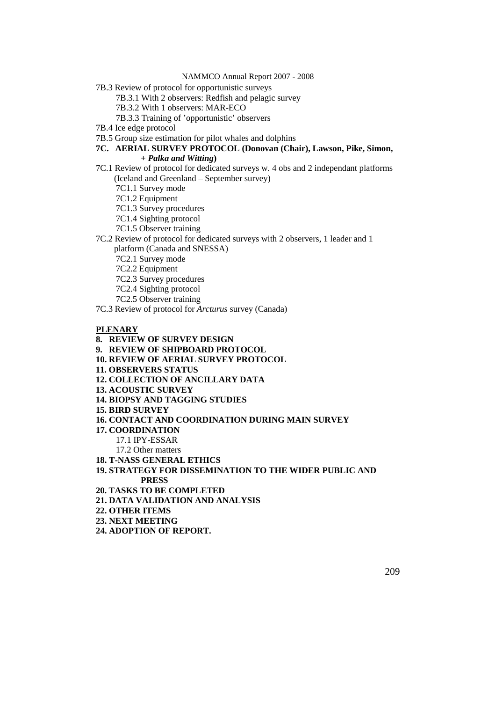7B.3 Review of protocol for opportunistic surveys

7B.3.1 With 2 observers: Redfish and pelagic survey

7B.3.2 With 1 observers: MAR-ECO

7B.3.3 Training of 'opportunistic' observers

- 7B.4 Ice edge protocol
- 7B.5 Group size estimation for pilot whales and dolphins

# **7C. AERIAL SURVEY PROTOCOL (Donovan (Chair), Lawson, Pike, Simon,**

## *+ Palka and Witting***)**

- 7C.1 Review of protocol for dedicated surveys w. 4 obs and 2 independant platforms (Iceland and Greenland – September survey)
	- 7C1.1 Survey mode
	- 7C1.2 Equipment
	- 7C1.3 Survey procedures
	- 7C1.4 Sighting protocol
	- 7C1.5 Observer training
- 7C.2 Review of protocol for dedicated surveys with 2 observers, 1 leader and 1 platform (Canada and SNESSA)
	- 7C2.1 Survey mode
	- 7C2.2 Equipment
	- 7C2.3 Survey procedures
	- 7C2.4 Sighting protocol
	- 7C2.5 Observer training
- 7C.3 Review of protocol for *Arcturus* survey (Canada)

#### **PLENARY**

#### **8. REVIEW OF SURVEY DESIGN**

- **9. REVIEW OF SHIPBOARD PROTOCOL**
- **10. REVIEW OF AERIAL SURVEY PROTOCOL**
- **11. OBSERVERS STATUS**
- **12. COLLECTION OF ANCILLARY DATA**
- **13. ACOUSTIC SURVEY**
- **14. BIOPSY AND TAGGING STUDIES**
- **15. BIRD SURVEY**
- **16. CONTACT AND COORDINATION DURING MAIN SURVEY**
- **17. COORDINATION** 
	- 17.1 IPY-ESSAR
	- 17.2 Other matters
- **18. T-NASS GENERAL ETHICS**
- **19. STRATEGY FOR DISSEMINATION TO THE WIDER PUBLIC AND PRESS**
- **20. TASKS TO BE COMPLETED**
- **21. DATA VALIDATION AND ANALYSIS**
- **22. OTHER ITEMS**
- **23. NEXT MEETING**
- **24. ADOPTION OF REPORT.**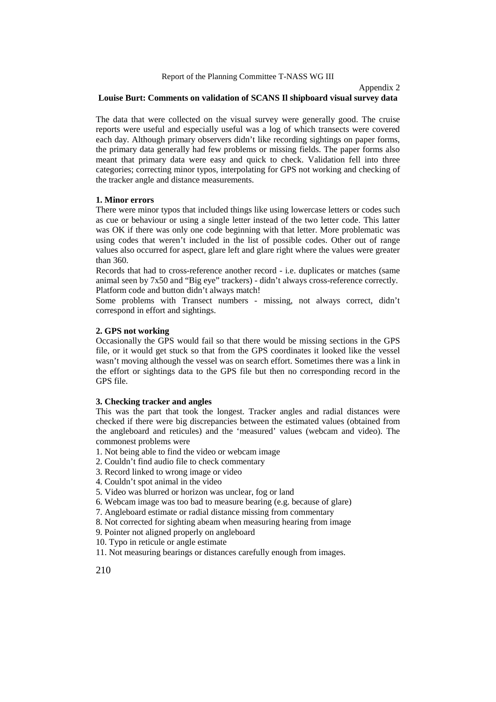## Appendix 2 **Louise Burt: Comments on validation of SCANS Il shipboard visual survey data**

The data that were collected on the visual survey were generally good. The cruise reports were useful and especially useful was a log of which transects were covered each day. Although primary observers didn't like recording sightings on paper forms, the primary data generally had few problems or missing fields. The paper forms also meant that primary data were easy and quick to check. Validation fell into three categories; correcting minor typos, interpolating for GPS not working and checking of the tracker angle and distance measurements.

#### **1. Minor errors**

There were minor typos that included things like using lowercase letters or codes such as cue or behaviour or using a single letter instead of the two letter code. This latter was OK if there was only one code beginning with that letter. More problematic was using codes that weren't included in the list of possible codes. Other out of range values also occurred for aspect, glare left and glare right where the values were greater than 360.

Records that had to cross-reference another record - i.e. duplicates or matches (same animal seen by 7x50 and "Big eye" trackers) - didn't always cross-reference correctly. Platform code and button didn't always match!

Some problems with Transect numbers - missing, not always correct, didn't correspond in effort and sightings.

### **2. GPS not working**

Occasionally the GPS would fail so that there would be missing sections in the GPS file, or it would get stuck so that from the GPS coordinates it looked like the vessel wasn't moving although the vessel was on search effort. Sometimes there was a link in the effort or sightings data to the GPS file but then no corresponding record in the GPS file.

#### **3. Checking tracker and angles**

This was the part that took the longest. Tracker angles and radial distances were checked if there were big discrepancies between the estimated values (obtained from the angleboard and reticules) and the 'measured' values (webcam and video). The commonest problems were

- 1. Not being able to find the video or webcam image
- 2. Couldn't find audio file to check commentary
- 3. Record linked to wrong image or video
- 4. Couldn't spot animal in the video
- 5. Video was blurred or horizon was unclear, fog or land
- 6. Webcam image was too bad to measure bearing (e.g. because of glare)
- 7. Angleboard estimate or radial distance missing from commentary
- 8. Not corrected for sighting abeam when measuring hearing from image
- 9. Pointer not aligned properly on angleboard
- 10. Typo in reticule or angle estimate
- 11. Not measuring bearings or distances carefully enough from images.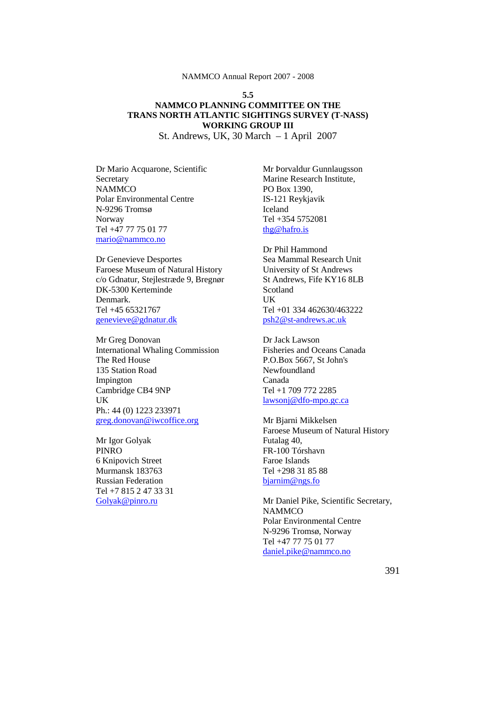## **5.5 NAMMCO PLANNING COMMITTEE ON THE TRANS NORTH ATLANTIC SIGHTINGS SURVEY (T-NASS) WORKING GROUP III**

St. Andrews, UK, 30 March – 1 April 2007

Dr Mario Acquarone, Scientific Secretary **NAMMCO** Polar Environmental Centre N-9296 Tromsø Norway Tel +47 77 75 01 77 [mario@nammco.no](mailto:mario@nammco.no)

Dr Genevieve Desportes Faroese Museum of Natural History c/o Gdnatur, Stejlestræde 9, Bregnør DK-5300 Kerteminde Denmark. Tel +45 65321767 [genevieve@gdnatur.dk](mailto:genevieve@gdnatur.dk)

Mr Greg Donovan International Whaling Commission The Red House 135 Station Road Impington Cambridge CB4 9NP UK Ph.: 44 (0) 1223 233971 [greg.donovan@iwcoffice.org](mailto:greg.donovan@iwcoffice.org)

Mr Igor Golyak PINRO 6 Knipovich Street Murmansk 183763 Russian Federation Tel +7 815 2 47 33 31 [Golyak@pinro.ru](mailto:Golyak@pinro.ru)

Mr Þorvaldur Gunnlaugsson Marine Research Institute, PO Box 1390, IS-121 Reykjavik Iceland Tel +354 5752081 [thg@hafro.is](mailto:thg@hafro.is)

Dr Phil Hammond Sea Mammal Research Unit University of St Andrews St Andrews, Fife KY16 8LB Scotland UK Tel +01 334 462630/463222 [psh2@st-andrews.ac.uk](mailto:psh2@st-andrews.ac.uk)

Dr Jack Lawson Fisheries and Oceans Canada P.O.Box 5667, St John's Newfoundland Canada Tel +1 709 772 2285 [lawsonj@dfo-mpo.gc.ca](mailto:lawsonj@dfo-mpo.gc.ca)

Mr Bjarni Mikkelsen Faroese Museum of Natural History Futalag 40, FR-100 Tórshavn Faroe Islands Tel +298 31 85 88 [bjarnim@ngs.fo](mailto:bjarnim@ngs.fo)

Mr Daniel Pike, Scientific Secretary, **NAMMCO** Polar Environmental Centre N-9296 Tromsø, Norway Tel +47 77 75 01 77 [daniel.pike@nammco.no](mailto:daniel.pike@nammco.no)